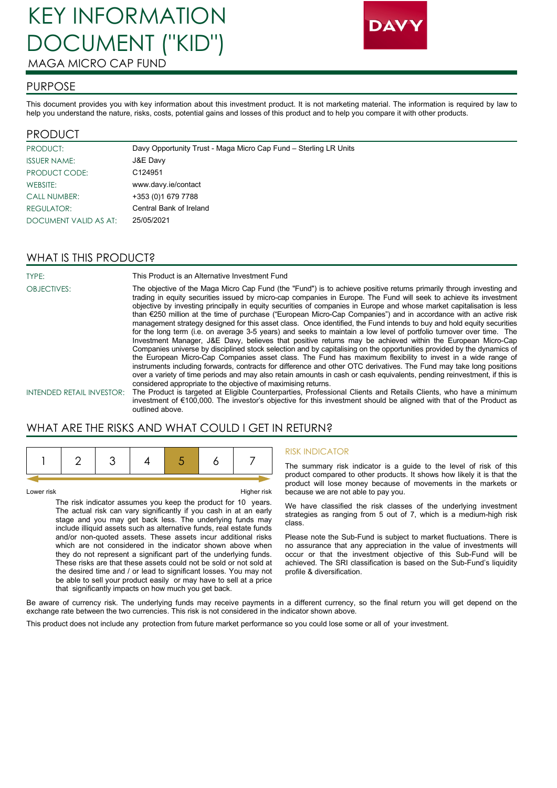# KEY INFORMATION DOCUMENT ("KID") MAGA MICRO CAP FUND



#### PURPOSE

This document provides you with key information about this investment product. It is not marketing material. The information is required by law to help you understand the nature, risks, costs, potential gains and losses of this product and to help you compare it with other products.

#### PRODUCT

| PRODUCT:              | Davy Opportunity Trust - Maga Micro Cap Fund - Sterling LR Units |
|-----------------------|------------------------------------------------------------------|
| <b>ISSUER NAME:</b>   | J&E Davy                                                         |
| <b>PRODUCT CODE:</b>  | C124951                                                          |
| WEBSITE:              | www.davy.ie/contact                                              |
| <b>CALL NUMBER:</b>   | +353 (0)1 679 7788                                               |
| REGULATOR:            | Central Bank of Ireland                                          |
| DOCUMENT VALID AS AT: | 25/05/2021                                                       |

### WHAT IS THIS PRODUCT?

TYPE: This Product is an Alternative Investment Fund OBJECTIVES: The objective of the Maga Micro Cap Fund (the "Fund") is to achieve positive returns primarily through investing and trading in equity securities issued by micro-cap companies in Europe. The Fund will seek to achieve its investment objective by investing principally in equity securities of companies in Europe and whose market capitalisation is less than €250 million at the time of purchase ("European Micro-Cap Companies") and in accordance with an active risk management strategy designed for this asset class. Once identified, the Fund intends to buy and hold equity securities for the long term (i.e. on average 3-5 years) and seeks to maintain a low level of portfolio turnover over time. The Investment Manager, J&E Davy, believes that positive returns may be achieved within the European Micro-Cap Companies universe by disciplined stock selection and by capitalising on the opportunities provided by the dynamics of the European Micro-Cap Companies asset class. The Fund has maximum flexibility to invest in a wide range of instruments including forwards, contracts for difference and other OTC derivatives. The Fund may take long positions over a variety of time periods and may also retain amounts in cash or cash equivalents, pending reinvestment, if this is considered appropriate to the objective of maximising returns. INTENDED RETAIL INVESTOR: The Product is targeted at Eligible Counterparties, Professional Clients and Retails Clients, who have a minimum investment of €100,000. The investor's objective for this investment should be aligned with that of the Product as

# WHAT ARE THE RISKS AND WHAT COULD I GET IN RETURN?

outlined above.

Lower risk Higher risk

The risk indicator assumes you keep the product for 10 years. The actual risk can vary significantly if you cash in at an early stage and you may get back less. The underlying funds may include illiquid assets such as alternative funds, real estate funds and/or non-quoted assets. These assets incur additional risks which are not considered in the indicator shown above when they do not represent a significant part of the underlying funds. These risks are that these assets could not be sold or not sold at the desired time and / or lead to significant losses. You may not be able to sell your product easily or may have to sell at a price that significantly impacts on how much you get back.

#### RISK INDICATOR

The summary risk indicator is a guide to the level of risk of this product compared to other products. It shows how likely it is that the product will lose money because of movements in the markets or because we are not able to pay you.

We have classified the risk classes of the underlying investment strategies as ranging from 5 out of 7, which is a medium-high risk class.

Please note the Sub-Fund is subject to market fluctuations. There is no assurance that any appreciation in the value of investments will occur or that the investment objective of this Sub-Fund will be achieved. The SRI classification is based on the Sub-Fund's liquidity profile & diversification.

Be aware of currency risk. The underlying funds may receive payments in a different currency, so the final return you will get depend on the exchange rate between the two currencies. This risk is not considered in the indicator shown above.

This product does not include any protection from future market performance so you could lose some or all of your investment.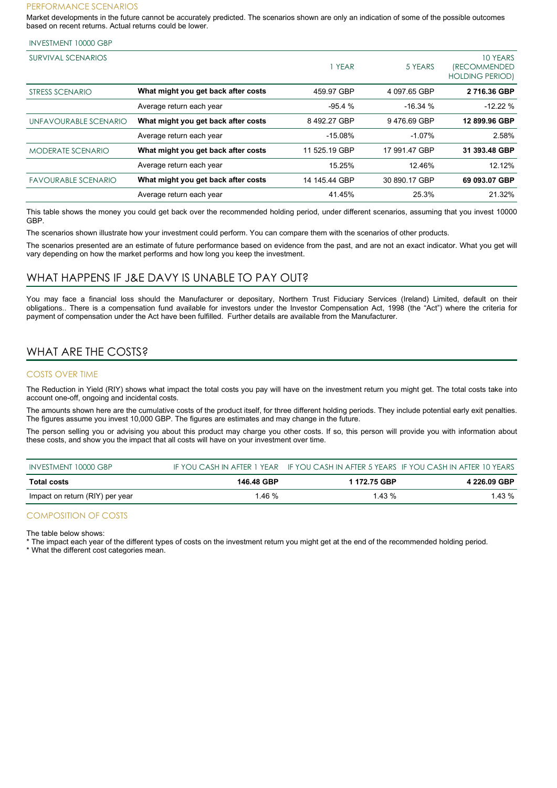#### PERFORMANCE SCENARIOS

Market developments in the future cannot be accurately predicted. The scenarios shown are only an indication of some of the possible outcomes based on recent returns. Actual returns could be lower.

#### INVESTMENT 10000 GBP

| SURVIVAL SCENARIOS         |                                     | <b>YEAR</b>   | 5 YEARS       | 10 YEARS<br><i><b>(RECOMMENDED)</b></i><br><b>HOLDING PERIOD)</b> |
|----------------------------|-------------------------------------|---------------|---------------|-------------------------------------------------------------------|
| STRESS SCENARIO            | What might you get back after costs | 459.97 GBP    | 4 097.65 GBP  | 2716.36 GBP                                                       |
|                            | Average return each year            | $-95.4%$      | $-16.34%$     | $-12.22%$                                                         |
| UNFAVOURABLE SCENARIO      | What might you get back after costs | 8492.27 GBP   | 9476.69 GBP   | 12 899.96 GBP                                                     |
|                            | Average return each year            | $-15.08%$     | $-1.07%$      | 2.58%                                                             |
| <b>MODERATE SCENARIO</b>   | What might you get back after costs | 11 525.19 GBP | 17 991.47 GBP | 31 393.48 GBP                                                     |
|                            | Average return each year            | 15.25%        | 12.46%        | 12.12%                                                            |
| <b>FAVOURABLE SCENARIO</b> | What might you get back after costs | 14 145.44 GBP | 30 890.17 GBP | 69 093.07 GBP                                                     |
|                            | Average return each year            | 41.45%        | 25.3%         | 21.32%                                                            |

This table shows the money you could get back over the recommended holding period, under different scenarios, assuming that you invest 10000 GBP.

The scenarios shown illustrate how your investment could perform. You can compare them with the scenarios of other products.

The scenarios presented are an estimate of future performance based on evidence from the past, and are not an exact indicator. What you get will vary depending on how the market performs and how long you keep the investment.

#### WHAT HAPPENS IF J&E DAVY IS UNABLE TO PAY OUT?

You may face a financial loss should the Manufacturer or depositary, Northern Trust Fiduciary Services (Ireland) Limited, default on their obligations.. There is a compensation fund available for investors under the Investor Compensation Act, 1998 (the "Act") where the criteria for payment of compensation under the Act have been fulfilled. Further details are available from the Manufacturer.

# WHAT ARE THE COSTS?

#### COSTS OVER TIME

The Reduction in Yield (RIY) shows what impact the total costs you pay will have on the investment return you might get. The total costs take into account one-off, ongoing and incidental costs.

The amounts shown here are the cumulative costs of the product itself, for three different holding periods. They include potential early exit penalties. The figures assume you invest 10,000 GBP. The figures are estimates and may change in the future.

The person selling you or advising you about this product may charge you other costs. If so, this person will provide you with information about these costs, and show you the impact that all costs will have on your investment over time.

| INVESTMENT 10000 GBP            |            |              | IF YOU CASH IN AFTER 1 YEAR IF YOU CASH IN AFTER 5 YEARS IF YOU CASH IN AFTER 10 YEARS |
|---------------------------------|------------|--------------|----------------------------------------------------------------------------------------|
| <b>Total costs</b>              | 146.48 GBP | 1 172.75 GBP | 4 226.09 GBP                                                                           |
| Impact on return (RIY) per year | .46%       | $1.43\%$     | 1.43 %                                                                                 |

#### COMPOSITION OF COSTS

The table below shows:

The impact each year of the different types of costs on the investment return you might get at the end of the recommended holding period.

\* What the different cost categories mean.